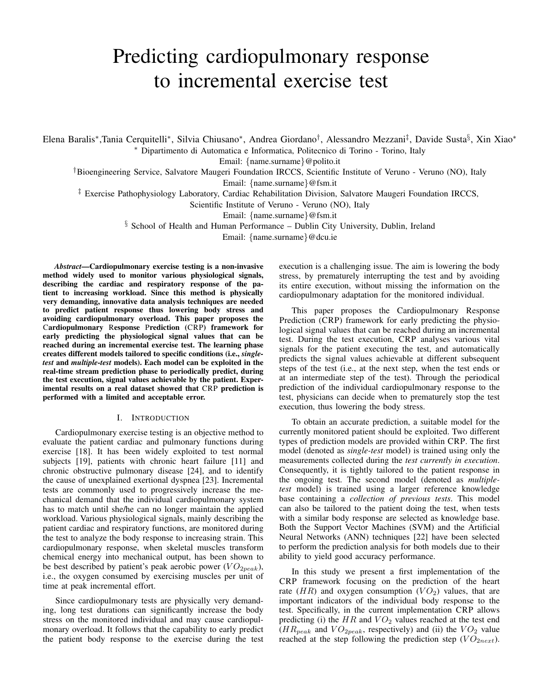# Predicting cardiopulmonary response to incremental exercise test

Elena Baralis\*,Tania Cerquitelli\*, Silvia Chiusano\*, Andrea Giordano<sup>†</sup>, Alessandro Mezzani<sup>‡</sup>, Davide Susta<sup>§</sup>, Xin Xiao\*

<sup>∗</sup> Dipartimento di Automatica e Informatica, Politecnico di Torino - Torino, Italy

Email: {name.surname}@polito.it

†Bioengineering Service, Salvatore Maugeri Foundation IRCCS, Scientific Institute of Veruno - Veruno (NO), Italy Email: {name.surname}@fsm.it

‡ Exercise Pathophysiology Laboratory, Cardiac Rehabilitation Division, Salvatore Maugeri Foundation IRCCS,

Scientific Institute of Veruno - Veruno (NO), Italy

Email: {name.surname}@fsm.it

 $§$  School of Health and Human Performance – Dublin City University, Dublin, Ireland

Email: {name.surname}@dcu.ie

*Abstract*—Cardiopulmonary exercise testing is a non-invasive method widely used to monitor various physiological signals, describing the cardiac and respiratory response of the patient to increasing workload. Since this method is physically very demanding, innovative data analysis techniques are needed to predict patient response thus lowering body stress and avoiding cardiopulmonary overload. This paper proposes the Cardiopulmonary Response Prediction (CRP) framework for early predicting the physiological signal values that can be reached during an incremental exercise test. The learning phase creates different models tailored to specific conditions (i.e., *singletest* and *multiple-test* models). Each model can be exploited in the real-time stream prediction phase to periodically predict, during the test execution, signal values achievable by the patient. Experimental results on a real dataset showed that CRP prediction is performed with a limited and acceptable error.

## I. INTRODUCTION

Cardiopulmonary exercise testing is an objective method to evaluate the patient cardiac and pulmonary functions during exercise [18]. It has been widely exploited to test normal subjects [19], patients with chronic heart failure [11] and chronic obstructive pulmonary disease [24], and to identify the cause of unexplained exertional dyspnea [23]. Incremental tests are commonly used to progressively increase the mechanical demand that the individual cardiopulmonary system has to match until she/he can no longer maintain the applied workload. Various physiological signals, mainly describing the patient cardiac and respiratory functions, are monitored during the test to analyze the body response to increasing strain. This cardiopulmonary response, when skeletal muscles transform chemical energy into mechanical output, has been shown to be best described by patient's peak aerobic power ( $VO_{2\text{peak}}$ ), i.e., the oxygen consumed by exercising muscles per unit of time at peak incremental effort.

Since cardiopulmonary tests are physically very demanding, long test durations can significantly increase the body stress on the monitored individual and may cause cardiopulmonary overload. It follows that the capability to early predict the patient body response to the exercise during the test execution is a challenging issue. The aim is lowering the body stress, by prematurely interrupting the test and by avoiding its entire execution, without missing the information on the cardiopulmonary adaptation for the monitored individual.

This paper proposes the Cardiopulmonary Response Prediction (CRP) framework for early predicting the physiological signal values that can be reached during an incremental test. During the test execution, CRP analyses various vital signals for the patient executing the test, and automatically predicts the signal values achievable at different subsequent steps of the test (i.e., at the next step, when the test ends or at an intermediate step of the test). Through the periodical prediction of the individual cardiopulmonary response to the test, physicians can decide when to prematurely stop the test execution, thus lowering the body stress.

To obtain an accurate prediction, a suitable model for the currently monitored patient should be exploited. Two different types of prediction models are provided within CRP. The first model (denoted as *single-test* model) is trained using only the measurements collected during the *test currently in execution*. Consequently, it is tightly tailored to the patient response in the ongoing test. The second model (denoted as *multipletest* model) is trained using a larger reference knowledge base containing a *collection of previous tests*. This model can also be tailored to the patient doing the test, when tests with a similar body response are selected as knowledge base. Both the Support Vector Machines (SVM) and the Artificial Neural Networks (ANN) techniques [22] have been selected to perform the prediction analysis for both models due to their ability to yield good accuracy performance.

In this study we present a first implementation of the CRP framework focusing on the prediction of the heart rate (HR) and oxygen consumption ( $VO<sub>2</sub>$ ) values, that are important indicators of the individual body response to the test. Specifically, in the current implementation CRP allows predicting (i) the  $HR$  and  $VO<sub>2</sub>$  values reached at the test end  $(HR_{peak}$  and  $VO_{2peak}$ , respectively) and (ii) the  $VO_2$  value reached at the step following the prediction step  $(VO_{2next})$ .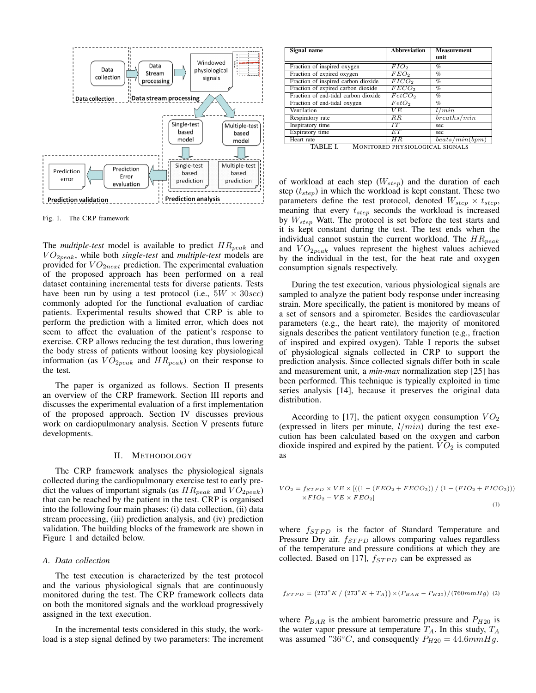

Fig. 1. The CRP framework

The *multiple-test* model is available to predict  $HR_{peak}$  and  $VO_{2peak}$ , while both *single-test* and *multiple-test* models are provided for  $VO_{2next}$  prediction. The experimental evaluation of the proposed approach has been performed on a real dataset containing incremental tests for diverse patients. Tests have been run by using a test protocol (i.e.,  $5W \times 30\text{sec}$ ) commonly adopted for the functional evaluation of cardiac patients. Experimental results showed that CRP is able to perform the prediction with a limited error, which does not seem to affect the evaluation of the patient's response to exercise. CRP allows reducing the test duration, thus lowering the body stress of patients without loosing key physiological information (as  $VO_{2peak}$  and  $HR_{peak}$ ) on their response to the test.

The paper is organized as follows. Section II presents an overview of the CRP framework. Section III reports and discusses the experimental evaluation of a first implementation of the proposed approach. Section IV discusses previous work on cardiopulmonary analysis. Section V presents future developments.

## II. METHODOLOGY

The CRP framework analyses the physiological signals collected during the cardiopulmonary exercise test to early predict the values of important signals (as  $HR_{peak}$  and  $VO_{2peak}$ ) that can be reached by the patient in the test. CRP is organised into the following four main phases: (i) data collection, (ii) data stream processing, (iii) prediction analysis, and (iv) prediction validation. The building blocks of the framework are shown in Figure 1 and detailed below.

#### *A. Data collection*

The test execution is characterized by the test protocol and the various physiological signals that are continuously monitored during the test. The CRP framework collects data on both the monitored signals and the workload progressively assigned in the text execution.

In the incremental tests considered in this study, the workload is a step signal defined by two parameters: The increment

| Signal name                          | <b>Abbreviation</b> | <b>Measurement</b><br>unit |
|--------------------------------------|---------------------|----------------------------|
| Fraction of inspired oxygen          | FIO <sub>2</sub>    | $\%$                       |
| Fraction of expired oxygen           | $FEO_{2}$           | $\%$                       |
| Fraction of inspired carbon dioxide  | FICO <sub>2</sub>   | $\%$                       |
| Fraction of expired carbon dioxide   | FECO <sub>2</sub>   | $\%$                       |
| Fraction of end-tidal carbon dioxide | FetCO <sub>2</sub>  | $\%$                       |
| Fraction of end-tidal oxygen         | FetO <sub>2</sub>   | $\%$                       |
| Ventilation                          | VЕ                  | l/min                      |
| Respiratory rate                     | RR                  | breaks/min                 |
| Inspiratory time                     | IТ                  | sec                        |
| Expiratory time                      | ET                  | sec                        |
| Heart rate                           | HR                  | beats/min(bpm)             |

MONITORED PHYSIOLOGICAL SIGNALS

of workload at each step  $(W_{step})$  and the duration of each step ( $t_{step}$ ) in which the workload is kept constant. These two parameters define the test protocol, denoted  $W_{step} \times t_{step}$ , meaning that every  $t_{step}$  seconds the workload is increased by  $W_{step}$  Watt. The protocol is set before the test starts and it is kept constant during the test. The test ends when the individual cannot sustain the current workload. The  $HR_{peak}$ and  $VO_{2peak}$  values represent the highest values achieved by the individual in the test, for the heat rate and oxygen consumption signals respectively.

During the test execution, various physiological signals are sampled to analyze the patient body response under increasing strain. More specifically, the patient is monitored by means of a set of sensors and a spirometer. Besides the cardiovascular parameters (e.g., the heart rate), the majority of monitored signals describes the patient ventilatory function (e.g., fraction of inspired and expired oxygen). Table I reports the subset of physiological signals collected in CRP to support the prediction analysis. Since collected signals differ both in scale and measurement unit, a *min-max* normalization step [25] has been performed. This technique is typically exploited in time series analysis [14], because it preserves the original data distribution.

According to [17], the patient oxygen consumption  $VO<sub>2</sub>$ (expressed in liters per minute,  $l/min$ ) during the test execution has been calculated based on the oxygen and carbon dioxide inspired and expired by the patient.  $VO<sub>2</sub>$  is computed as

$$
VO_2 = f_{STPD} \times VE \times \left[ \left( \left( 1 - \left( FEO_2 + FECO_2 \right) \right) / \left( 1 - \left( FIO_2 + FICO_2 \right) \right) \right) \right]
$$
  
×
$$
FIO_2 - VE \times FEO_2
$$
 (1)

where  $f_{STPD}$  is the factor of Standard Temperature and Pressure Dry air.  $f_{STPD}$  allows comparing values regardless of the temperature and pressure conditions at which they are collected. Based on [17],  $f_{STPD}$  can be expressed as

$$
f_{STPD} = (273^{\circ} K / (273^{\circ} K + T_A)) \times (P_{BAR} - P_{H20}) / (760 mm Hg)
$$
 (2)

where  $P_{BAR}$  is the ambient barometric pressure and  $P_{H20}$  is the water vapor pressure at temperature  $T_A$ . In this study,  $T_A$ was assumed "36°C, and consequently  $P_{H20} = 44.6mmHg$ .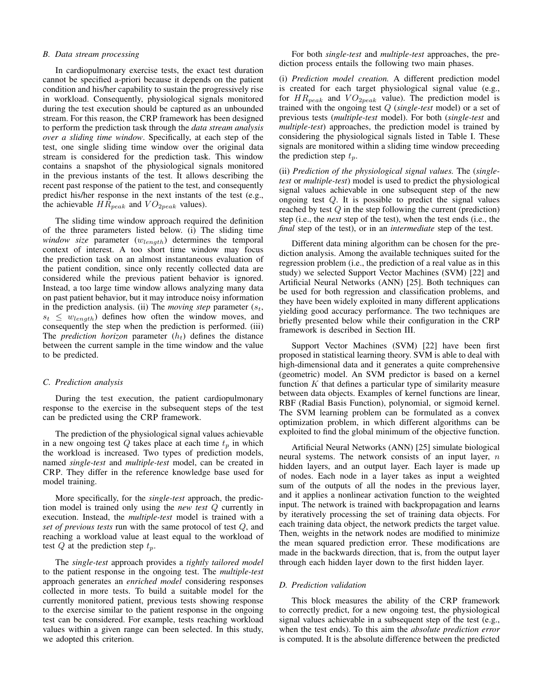#### *B. Data stream processing*

In cardiopulmonary exercise tests, the exact test duration cannot be specified a-priori because it depends on the patient condition and his/her capability to sustain the progressively rise in workload. Consequently, physiological signals monitored during the test execution should be captured as an unbounded stream. For this reason, the CRP framework has been designed to perform the prediction task through the *data stream analysis over a sliding time window*. Specifically, at each step of the test, one single sliding time window over the original data stream is considered for the prediction task. This window contains a snapshot of the physiological signals monitored in the previous instants of the test. It allows describing the recent past response of the patient to the test, and consequently predict his/her response in the next instants of the test (e.g., the achievable  $HR_{peak}$  and  $VO_{2peak}$  values).

The sliding time window approach required the definition of the three parameters listed below. (i) The sliding time  $window$  size parameter  $(w_{length})$  determines the temporal context of interest. A too short time window may focus the prediction task on an almost instantaneous evaluation of the patient condition, since only recently collected data are considered while the previous patient behavior is ignored. Instead, a too large time window allows analyzing many data on past patient behavior, but it may introduce noisy information in the prediction analysis. (ii) The *moving step* parameter  $(s_t,$  $s_t \leq w_{length}$ ) defines how often the window moves, and consequently the step when the prediction is performed. (iii) The *prediction horizon* parameter  $(h_t)$  defines the distance between the current sample in the time window and the value to be predicted.

#### *C. Prediction analysis*

During the test execution, the patient cardiopulmonary response to the exercise in the subsequent steps of the test can be predicted using the CRP framework.

The prediction of the physiological signal values achievable in a new ongoing test  $Q$  takes place at each time  $t_p$  in which the workload is increased. Two types of prediction models, named *single-test* and *multiple-test* model, can be created in CRP. They differ in the reference knowledge base used for model training.

More specifically, for the *single-test* approach, the prediction model is trained only using the *new test* Q currently in execution. Instead, the *multiple-test* model is trained with a *set of previous tests* run with the same protocol of test Q, and reaching a workload value at least equal to the workload of test  $Q$  at the prediction step  $t_p$ .

The *single-test* approach provides a *tightly tailored model* to the patient response in the ongoing test. The *multiple-test* approach generates an *enriched model* considering responses collected in more tests. To build a suitable model for the currently monitored patient, previous tests showing response to the exercise similar to the patient response in the ongoing test can be considered. For example, tests reaching workload values within a given range can been selected. In this study, we adopted this criterion.

For both *single-test* and *multiple-test* approaches, the prediction process entails the following two main phases.

(i) *Prediction model creation.* A different prediction model is created for each target physiological signal value (e.g., for  $HR_{peak}$  and  $VO_{2peak}$  value). The prediction model is trained with the ongoing test Q (*single-test* model) or a set of previous tests (*multiple-test* model). For both (*single-test* and *multiple-test*) approaches, the prediction model is trained by considering the physiological signals listed in Table I. These signals are monitored within a sliding time window preceeding the prediction step  $t_p$ .

(ii) *Prediction of the physiological signal values.* The (*singletest* or *multiple-test*) model is used to predict the physiological signal values achievable in one subsequent step of the new ongoing test  $Q$ . It is possible to predict the signal values reached by test  $Q$  in the step following the current (prediction) step (i.e., the *next* step of the test), when the test ends (i.e., the *final* step of the test), or in an *intermediate* step of the test.

Different data mining algorithm can be chosen for the prediction analysis. Among the available techniques suited for the regression problem (i.e., the prediction of a real value as in this study) we selected Support Vector Machines (SVM) [22] and Artificial Neural Networks (ANN) [25]. Both techniques can be used for both regression and classification problems, and they have been widely exploited in many different applications yielding good accuracy performance. The two techniques are briefly presented below while their configuration in the CRP framework is described in Section III.

Support Vector Machines (SVM) [22] have been first proposed in statistical learning theory. SVM is able to deal with high-dimensional data and it generates a quite comprehensive (geometric) model. An SVM predictor is based on a kernel function  $K$  that defines a particular type of similarity measure between data objects. Examples of kernel functions are linear, RBF (Radial Basis Function), polynomial, or sigmoid kernel. The SVM learning problem can be formulated as a convex optimization problem, in which different algorithms can be exploited to find the global minimum of the objective function.

Artificial Neural Networks (ANN) [25] simulate biological neural systems. The network consists of an input layer,  $n$ hidden layers, and an output layer. Each layer is made up of nodes. Each node in a layer takes as input a weighted sum of the outputs of all the nodes in the previous layer, and it applies a nonlinear activation function to the weighted input. The network is trained with backpropagation and learns by iteratively processing the set of training data objects. For each training data object, the network predicts the target value. Then, weights in the network nodes are modified to minimize the mean squared prediction error. These modifications are made in the backwards direction, that is, from the output layer through each hidden layer down to the first hidden layer.

#### *D. Prediction validation*

This block measures the ability of the CRP framework to correctly predict, for a new ongoing test, the physiological signal values achievable in a subsequent step of the test (e.g., when the test ends). To this aim the *absolute prediction error* is computed. It is the absolute difference between the predicted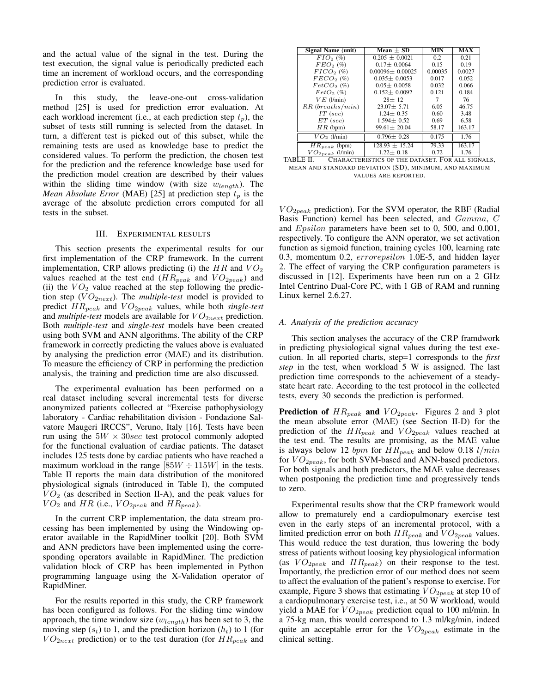and the actual value of the signal in the test. During the test execution, the signal value is periodically predicted each time an increment of workload occurs, and the corresponding prediction error is evaluated.

In this study, the leave-one-out cross-validation method [25] is used for prediction error evaluation. At each workload increment (i.e., at each prediction step  $t_p$ ), the subset of tests still running is selected from the dataset. In turn, a different test is picked out of this subset, while the remaining tests are used as knowledge base to predict the considered values. To perform the prediction, the chosen test for the prediction and the reference knowledge base used for the prediction model creation are described by their values within the sliding time window (with size  $w_{length}$ ). The *Mean Absolute Error* (MAE) [25] at prediction step  $t_p$  is the average of the absolute prediction errors computed for all tests in the subset.

## III. EXPERIMENTAL RESULTS

This section presents the experimental results for our first implementation of the CRP framework. In the current implementation, CRP allows predicting (i) the  $HR$  and  $VO<sub>2</sub>$ values reached at the test end  $(HR_{peak}$  and  $VO_{2peak})$  and (ii) the  $VO<sub>2</sub>$  value reached at the step following the prediction step  $(VO_{2next})$ . The *multiple-test* model is provided to predict  $HR_{peak}$  and  $VO_{2peak}$  values, while both *single-test* and *multiple-test* models are available for  $VO_{2next}$  prediction. Both *multiple-test* and *single-test* models have been created using both SVM and ANN algorithms. The ability of the CRP framework in correctly predicting the values above is evaluated by analysing the prediction error (MAE) and its distribution. To measure the efficiency of CRP in performing the prediction analysis, the training and prediction time are also discussed.

The experimental evaluation has been performed on a real dataset including several incremental tests for diverse anonymized patients collected at "Exercise pathophysiology laboratory - Cardiac rehabilitation division - Fondazione Salvatore Maugeri IRCCS", Veruno, Italy [16]. Tests have been run using the  $5W \times 30sec$  test protocol commonly adopted for the functional evaluation of cardiac patients. The dataset includes 125 tests done by cardiac patients who have reached a maximum workload in the range  $[85W \div 115W]$  in the tests. Table II reports the main data distribution of the monitored physiological signals (introduced in Table I), the computed  $VO<sub>2</sub>$  (as described in Section II-A), and the peak values for  $VO<sub>2</sub>$  and HR (i.e.,  $VO<sub>2peak</sub>$  and  $HR<sub>peak</sub>$ ).

In the current CRP implementation, the data stream processing has been implemented by using the Windowing operator available in the RapidMiner toolkit [20]. Both SVM and ANN predictors have been implemented using the corresponding operators available in RapidMiner. The prediction validation block of CRP has been implemented in Python programming language using the X-Validation operator of RapidMiner.

For the results reported in this study, the CRP framework has been configured as follows. For the sliding time window approach, the time window size  $(w_{length})$  has been set to 3, the moving step  $(s_t)$  to 1, and the prediction horizon  $(h_t)$  to 1 (for  $VO_{2next}$  prediction) or to the test duration (for  $HR_{peak}$  and

| Signal Name (unit)                                            | Mean $\pm$ SD         | <b>MIN</b> | <b>MAX</b> |  |
|---------------------------------------------------------------|-----------------------|------------|------------|--|
| $FIO_2(\%)$                                                   | $0.205 \pm 0.0021$    | 0.2        | 0.21       |  |
| $FEO_2(\%)$                                                   | $0.17 \pm 0.0064$     | 0.15       | 0.19       |  |
| $FICO2(\%)$                                                   | $0.00096 \pm 0.00025$ | 0.00035    | 0.0027     |  |
| FECO <sub>2</sub> (%)                                         | $0.035 \pm 0.0053$    | 0.017      | 0.052      |  |
| FetCO <sub>2</sub> (%)                                        | $0.05 \pm 0.0058$     | 0.032      | 0.066      |  |
| $FetO2(\%)$                                                   | $0.152 \pm 0.0092$    | 0.121      | 0.184      |  |
| $VE$ (l/min)                                                  | $28 \pm 12$           | 7          | 76         |  |
| $RR$ (breaths/min)                                            | $23.07 \pm 5.71$      | 6.05       | 46.75      |  |
| $IT$ (sec)                                                    | $1.24 \pm 0.35$       | 0.60       | 3.48       |  |
| $ET$ (sec)                                                    | $1.594 \pm 0.52$      | 0.69       | 6.58       |  |
| $HR$ (bpm)                                                    | $99.61 \pm 20.04$     | 58.17      | 163.17     |  |
| $VO2$ (l/min)                                                 | $0.796 \pm 0.28$      | 0.175      | 1.76       |  |
| $HR_{peak}$ (bpm)                                             | $128.93 \pm 15.24$    | 79.33      | 163.17     |  |
| $VO_{2\text{peak}}$ (l/min)                                   | $1.22 \pm 0.18$       | 0.72       | 1.76       |  |
| CHARACTERISTICS OF THE DATASET. FOR ALL SIGNALS,<br>TABLE II. |                       |            |            |  |

MEAN AND STANDARD DEVIATION (SD), MINIMUM, AND MAXIMUM VALUES ARE REPORTED.

 $VO_{2peak}$  prediction). For the SVM operator, the RBF (Radial Basis Function) kernel has been selected, and Gamma, C and Epsilon parameters have been set to 0, 500, and 0.001, respectively. To configure the ANN operator, we set activation function as sigmoid function, training cycles 100, learning rate 0.3, momentum 0.2, errorepsilon 1.0E-5, and hidden layer 2. The effect of varying the CRP configuration parameters is discussed in [12]. Experiments have been run on a 2 GHz Intel Centrino Dual-Core PC, with 1 GB of RAM and running Linux kernel 2.6.27.

## *A. Analysis of the prediction accuracy*

This section analyses the accuracy of the CRP framdwork in predicting physiological signal values during the test execution. In all reported charts, step=1 corresponds to the *first step* in the test, when workload 5 W is assigned. The last prediction time corresponds to the achievement of a steadystate heart rate. According to the test protocol in the collected tests, every 30 seconds the prediction is performed.

**Prediction of**  $HR_{peak}$  and  $VO_{2peak}$ . Figures 2 and 3 plot the mean absolute error (MAE) (see Section II-D) for the prediction of the  $HR_{peak}$  and  $VO_{2peak}$  values reached at the test end. The results are promising, as the MAE value is always below 12 bpm for  $HR_{peak}$  and below 0.18  $l/min$ for  $VO_{2peak}$ , for both SVM-based and ANN-based predictors. For both signals and both predictors, the MAE value decreases when postponing the prediction time and progressively tends to zero.

Experimental results show that the CRP framework would allow to prematurely end a cardiopulmonary exercise test even in the early steps of an incremental protocol, with a limited prediction error on both  $HR_{peak}$  and  $VO_{2peak}$  values. This would reduce the test duration, thus lowering the body stress of patients without loosing key physiological information (as  $VO_{2peak}$  and  $HR_{peak}$ ) on their response to the test. Importantly, the prediction error of our method does not seem to affect the evaluation of the patient's response to exercise. For example, Figure 3 shows that estimating  $VO_{2peak}$  at step 10 of a cardiopulmonary exercise test, i.e., at 50 W workload, would yield a MAE for  $VO_{2peak}$  prediction equal to 100 ml/min. In a 75-kg man, this would correspond to 1.3 ml/kg/min, indeed quite an acceptable error for the  $VO_{2peak}$  estimate in the clinical setting.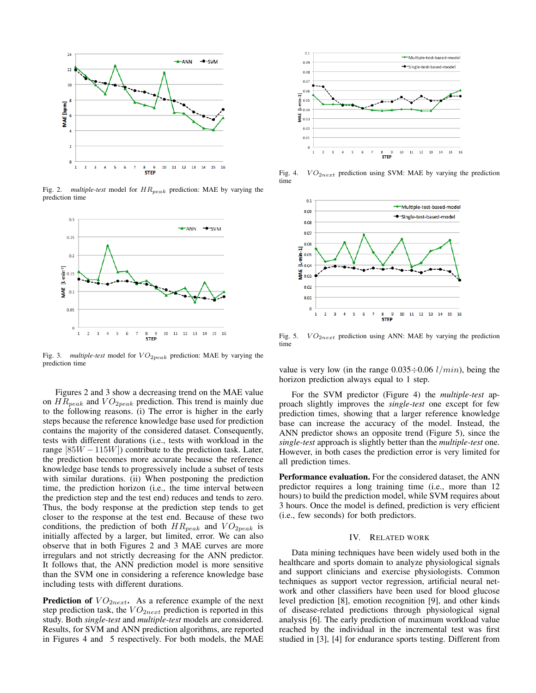

Fig. 2. *multiple-test* model for  $HR_{peak}$  prediction: MAE by varying the prediction time



Fig. 3. *multiple-test* model for  $VO_{2peak}$  prediction: MAE by varying the prediction time

Figures 2 and 3 show a decreasing trend on the MAE value on  $HR_{peak}$  and  $VO_{2peak}$  prediction. This trend is mainly due to the following reasons. (i) The error is higher in the early steps because the reference knowledge base used for prediction contains the majority of the considered dataset. Consequently, tests with different durations (i.e., tests with workload in the range  $[85W - 115W]$  contribute to the prediction task. Later, the prediction becomes more accurate because the reference knowledge base tends to progressively include a subset of tests with similar durations. (ii) When postponing the prediction time, the prediction horizon (i.e., the time interval between the prediction step and the test end) reduces and tends to zero. Thus, the body response at the prediction step tends to get closer to the response at the test end. Because of these two conditions, the prediction of both  $HR_{peak}$  and  $VO_{2peak}$  is initially affected by a larger, but limited, error. We can also observe that in both Figures 2 and 3 MAE curves are more irregulars and not strictly decreasing for the ANN predictor. It follows that, the ANN prediction model is more sensitive than the SVM one in considering a reference knowledge base including tests with different durations.

**Prediction of**  $VO_{2next}$ . As a reference example of the next step prediction task, the  $VO_{2next}$  prediction is reported in this study. Both *single-test* and *multiple-test* models are considered. Results, for SVM and ANN prediction algorithms, are reported in Figures 4 and 5 respectively. For both models, the MAE



Fig. 4.  $VO_{2next}$  prediction using SVM: MAE by varying the prediction time



Fig. 5.  $VO_{2next}$  prediction using ANN: MAE by varying the prediction time

value is very low (in the range  $0.035 \div 0.06$  *l/min*), being the horizon prediction always equal to 1 step.

For the SVM predictor (Figure 4) the *multiple-test* approach slightly improves the *single-test* one except for few prediction times, showing that a larger reference knowledge base can increase the accuracy of the model. Instead, the ANN predictor shows an opposite trend (Figure 5), since the *single-test* approach is slightly better than the *multiple-test* one. However, in both cases the prediction error is very limited for all prediction times.

Performance evaluation. For the considered dataset, the ANN predictor requires a long training time (i.e., more than 12 hours) to build the prediction model, while SVM requires about 3 hours. Once the model is defined, prediction is very efficient (i.e., few seconds) for both predictors.

## IV. RELATED WORK

Data mining techniques have been widely used both in the healthcare and sports domain to analyze physiological signals and support clinicians and exercise physiologists. Common techniques as support vector regression, artificial neural network and other classifiers have been used for blood glucose level prediction [8], emotion recognition [9], and other kinds of disease-related predictions through physiological signal analysis [6]. The early prediction of maximum workload value reached by the individual in the incremental test was first studied in [3], [4] for endurance sports testing. Different from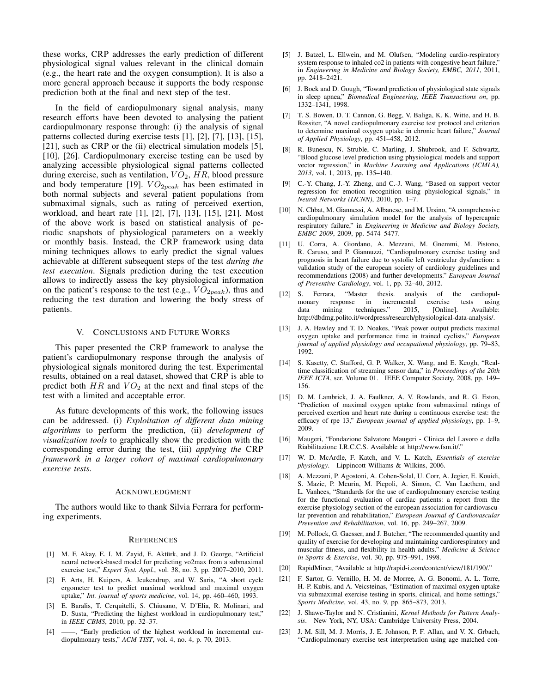these works, CRP addresses the early prediction of different physiological signal values relevant in the clinical domain (e.g., the heart rate and the oxygen consumption). It is also a more general approach because it supports the body response prediction both at the final and next step of the test.

In the field of cardiopulmonary signal analysis, many research efforts have been devoted to analysing the patient cardiopulmonary response through: (i) the analysis of signal patterns collected during exercise tests [1], [2], [7], [13], [15], [21], such as CRP or the (ii) electrical simulation models [5], [10], [26]. Cardiopulmonary exercise testing can be used by analyzing accessible physiological signal patterns collected during exercise, such as ventilation,  $VO_2$ , HR, blood pressure and body temperature [19].  $VO_{2peak}$  has been estimated in both normal subjects and several patient populations from submaximal signals, such as rating of perceived exertion, workload, and heart rate [1], [2], [7], [13], [15], [21]. Most of the above work is based on statistical analysis of periodic snapshots of physiological parameters on a weekly or monthly basis. Instead, the CRP framework using data mining techniques allows to early predict the signal values achievable at different subsequent steps of the test *during the test execution*. Signals prediction during the test execution allows to indirectly assess the key physiological information on the patient's response to the test (e.g.,  $VO_{2peak}$ ), thus and reducing the test duration and lowering the body stress of patients.

## V. CONCLUSIONS AND FUTURE WORKS

This paper presented the CRP framework to analyse the patient's cardiopulmonary response through the analysis of physiological signals monitored during the test. Experimental results, obtained on a real dataset, showed that CRP is able to predict both  $HR$  and  $VO<sub>2</sub>$  at the next and final steps of the test with a limited and acceptable error.

As future developments of this work, the following issues can be addressed. (i) *Exploitation of different data mining algorithms* to perform the prediction, (ii) *development of visualization tools* to graphically show the prediction with the corresponding error during the test, (iii) *applying the* CRP *framework in a larger cohort of maximal cardiopulmonary exercise tests*.

## ACKNOWLEDGMENT

The authors would like to thank Silvia Ferrara for performing experiments.

#### **REFERENCES**

- [1] M. F. Akay, E. I. M. Zayid, E. Aktürk, and J. D. George, "Artificial neural network-based model for predicting vo2max from a submaximal exercise test," *Expert Syst. Appl.*, vol. 38, no. 3, pp. 2007–2010, 2011.
- [2] F. Arts, H. Kuipers, A. Jeukendrup, and W. Saris, "A short cycle ergometer test to predict maximal workload and maximal oxygen uptake," *Int. journal of sports medicine*, vol. 14, pp. 460–460, 1993.
- [3] E. Baralis, T. Cerquitelli, S. Chiusano, V. D'Elia, R. Molinari, and D. Susta, "Predicting the highest workload in cardiopulmonary test," in *IEEE CBMS*, 2010, pp. 32–37.
- [4] ——, "Early prediction of the highest workload in incremental cardiopulmonary tests," *ACM TIST*, vol. 4, no. 4, p. 70, 2013.
- [5] J. Batzel, L. Ellwein, and M. Olufsen, "Modeling cardio-respiratory system response to inhaled co2 in patients with congestive heart failure,' in *Engineering in Medicine and Biology Society, EMBC, 2011*, 2011, pp. 2418–2421.
- [6] J. Bock and D. Gough, "Toward prediction of physiological state signals in sleep apnea," *Biomedical Engineering, IEEE Transactions on*, pp. 1332–1341, 1998.
- [7] T. S. Bowen, D. T. Cannon, G. Begg, V. Baliga, K. K. Witte, and H. B. Rossiter, "A novel cardiopulmonary exercise test protocol and criterion to determine maximal oxygen uptake in chronic heart failure," *Journal of Applied Physiology*, pp. 451–458, 2012.
- [8] R. Bunescu, N. Struble, C. Marling, J. Shubrook, and F. Schwartz, "Blood glucose level prediction using physiological models and support vector regression," in *Machine Learning and Applications (ICMLA), 2013*, vol. 1, 2013, pp. 135–140.
- [9] C.-Y. Chang, J.-Y. Zheng, and C.-J. Wang, "Based on support vector regression for emotion recognition using physiological signals," in *Neural Networks (IJCNN)*, 2010, pp. 1–7.
- [10] N. Chbat, M. Giannessi, A. Albanese, and M. Ursino, "A comprehensive cardiopulmonary simulation model for the analysis of hypercapnic respiratory failure," in *Engineering in Medicine and Biology Society, EMBC 2009*, 2009, pp. 5474–5477.
- [11] U. Corra, A. Giordano, A. Mezzani, M. Gnemmi, M. Pistono, R. Caruso, and P. Giannuzzi, "Cardiopulmonary exercise testing and prognosis in heart failure due to systolic left ventricular dysfunction: a validation study of the european society of cardiology guidelines and recommendations (2008) and further developments." *European Journal of Preventive Cardiology*, vol. 1, pp. 32–40, 2012.
- [12] S. Ferrara, "Master thesis. analysis of the cardiopulmonary response in incremental exercise tests using<br>data mining techniques." 2015, [Online]. Available: data mining techniques." 2015, [Online]. Available: http://dbdmg.polito.it/wordpress/research/physiological-data-analysis/.
- [13] J. A. Hawley and T. D. Noakes, "Peak power output predicts maximal oxygen uptake and performance time in trained cyclists," *European journal of applied physiology and occupational physiology*, pp. 79–83, 1992.
- [14] S. Kasetty, C. Stafford, G. P. Walker, X. Wang, and E. Keogh, "Realtime classification of streaming sensor data," in *Proceedings of the 20th IEEE ICTA*, ser. Volume 01. IEEE Computer Society, 2008, pp. 149– 156.
- [15] D. M. Lambrick, J. A. Faulkner, A. V. Rowlands, and R. G. Eston, "Prediction of maximal oxygen uptake from submaximal ratings of perceived exertion and heart rate during a continuous exercise test: the efficacy of rpe 13," *European journal of applied physiology*, pp. 1–9, 2009.
- [16] Maugeri, "Fondazione Salvatore Maugeri Clinica del Lavoro e della Riabilitazione I.R.C.C.S. Available at http://www.fsm.it/."
- [17] W. D. McArdle, F. Katch, and V. L. Katch, *Essentials of exercise physiology*. Lippincott Williams & Wilkins, 2006.
- [18] A. Mezzani, P. Agostoni, A. Cohen-Solal, U. Corr, A. Jegier, E. Kouidi, S. Mazic, P. Meurin, M. Piepoli, A. Simon, C. Van Laethem, and L. Vanhees, "Standards for the use of cardiopulmonary exercise testing for the functional evaluation of cardiac patients: a report from the exercise physiology section of the european association for cardiovascular prevention and rehabilitation," *European Journal of Cardiovascular Prevention and Rehabilitation*, vol. 16, pp. 249–267, 2009.
- [19] M. Pollock, G. Gaesser, and J. Butcher, "The recommended quantity and quality of exercise for developing and maintaining cardiorespiratory and muscular fitness, and flexibility in health adults." *Medicine & Science in Sports & Exercise*, vol. 30, pp. 975–991, 1998.
- [20] RapidMiner, "Available at http://rapid-i.com/content/view/181/190/."
- [21] F. Sartor, G. Vernillo, H. M. de Morree, A. G. Bonomi, A. L. Torre, H.-P. Kubis, and A. Veicsteinas, "Estimation of maximal oxygen uptake via submaximal exercise testing in sports, clinical, and home settings," *Sports Medicine*, vol. 43, no. 9, pp. 865–873, 2013.
- [22] J. Shawe-Taylor and N. Cristianini, *Kernel Methods for Pattern Analysis*. New York, NY, USA: Cambridge University Press, 2004.
- [23] J. M. Sill, M. J. Morris, J. E. Johnson, P. F. Allan, and V. X. Grbach, "Cardiopulmonary exercise test interpretation using age matched con-